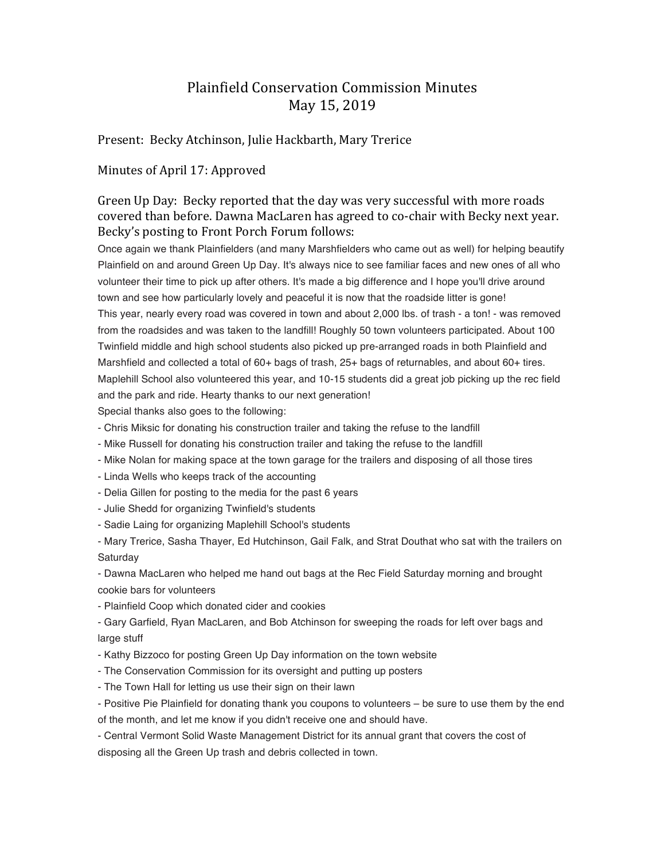## Plainfield Conservation Commission Minutes May 15, 2019

## Present: Becky Atchinson, Julie Hackbarth, Mary Trerice

## Minutes of April 17: Approved

Green Up Day: Becky reported that the day was very successful with more roads covered than before. Dawna MacLaren has agreed to co-chair with Becky next year. Becky's posting to Front Porch Forum follows:

Once again we thank Plainfielders (and many Marshfielders who came out as well) for helping beautify Plainfield on and around Green Up Day. It's always nice to see familiar faces and new ones of all who volunteer their time to pick up after others. It's made a big difference and I hope you'll drive around town and see how particularly lovely and peaceful it is now that the roadside litter is gone! This year, nearly every road was covered in town and about 2,000 lbs. of trash - a ton! - was removed from the roadsides and was taken to the landfill! Roughly 50 town volunteers participated. About 100 Twinfield middle and high school students also picked up pre-arranged roads in both Plainfield and Marshfield and collected a total of 60+ bags of trash, 25+ bags of returnables, and about 60+ tires. Maplehill School also volunteered this year, and 10-15 students did a great job picking up the rec field and the park and ride. Hearty thanks to our next generation!

Special thanks also goes to the following:

- Chris Miksic for donating his construction trailer and taking the refuse to the landfill

- Mike Russell for donating his construction trailer and taking the refuse to the landfill
- Mike Nolan for making space at the town garage for the trailers and disposing of all those tires
- Linda Wells who keeps track of the accounting
- Delia Gillen for posting to the media for the past 6 years
- Julie Shedd for organizing Twinfield's students
- Sadie Laing for organizing Maplehill School's students

- Mary Trerice, Sasha Thayer, Ed Hutchinson, Gail Falk, and Strat Douthat who sat with the trailers on Saturday

- Dawna MacLaren who helped me hand out bags at the Rec Field Saturday morning and brought cookie bars for volunteers

- Plainfield Coop which donated cider and cookies

- Gary Garfield, Ryan MacLaren, and Bob Atchinson for sweeping the roads for left over bags and large stuff

- Kathy Bizzoco for posting Green Up Day information on the town website
- The Conservation Commission for its oversight and putting up posters
- The Town Hall for letting us use their sign on their lawn

- Positive Pie Plainfield for donating thank you coupons to volunteers – be sure to use them by the end of the month, and let me know if you didn't receive one and should have.

- Central Vermont Solid Waste Management District for its annual grant that covers the cost of

disposing all the Green Up trash and debris collected in town.